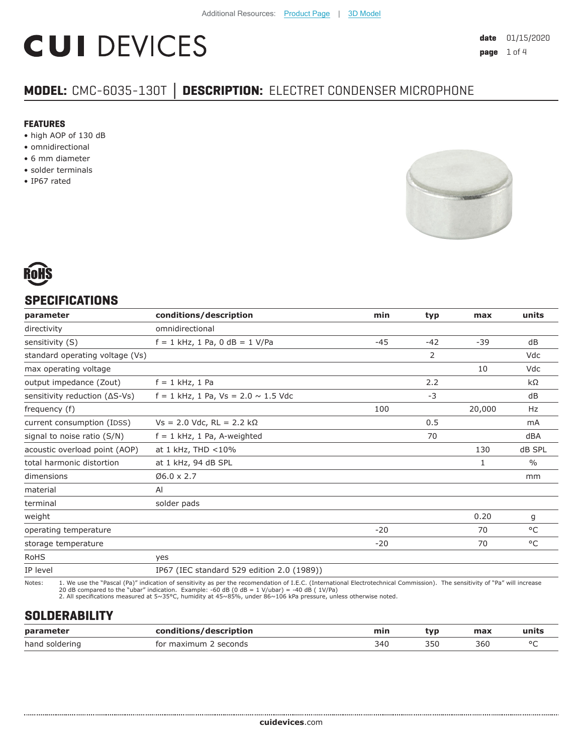# **CUI DEVICES**

# **MODEL:** CMC-6035-130T **│ DESCRIPTION:** ELECTRET CONDENSER MICROPHONE

#### **FEATURES**

- high AOP of 130 dB
- omnidirectional
- 6 mm diameter
- solder terminals
- IP67 rated



# **SPECIFICATIONS**

| parameter                       | conditions/description                     | min   | typ   | max          | units         |
|---------------------------------|--------------------------------------------|-------|-------|--------------|---------------|
| directivity                     | omnidirectional                            |       |       |              |               |
| sensitivity (S)                 | $f = 1$ kHz, 1 Pa, 0 dB = 1 V/Pa           | $-45$ | $-42$ | $-39$        | dB            |
| standard operating voltage (Vs) |                                            |       | 2     |              | Vdc           |
| max operating voltage           |                                            |       |       | 10           | Vdc           |
| output impedance (Zout)         | $f = 1$ kHz, 1 Pa                          |       | 2.2   |              | kΩ            |
| sensitivity reduction (ΔS-Vs)   | $f = 1$ kHz, 1 Pa, Vs = 2.0 $\sim$ 1.5 Vdc |       | $-3$  |              | dB            |
| frequency (f)                   |                                            | 100   |       | 20,000       | Hz            |
| current consumption (IDSS)      | $Vs = 2.0$ Vdc, RL = 2.2 kΩ                |       | 0.5   |              | mA            |
| signal to noise ratio (S/N)     | $f = 1$ kHz, 1 Pa, A-weighted              |       | 70    |              | dBA           |
| acoustic overload point (AOP)   | at 1 kHz, THD <10%                         |       |       | 130          | dB SPL        |
| total harmonic distortion       | at 1 kHz, 94 dB SPL                        |       |       | $\mathbf{1}$ | $\frac{0}{0}$ |
| dimensions                      | $06.0 \times 2.7$                          |       |       |              | mm            |
| material                        | AI                                         |       |       |              |               |
| terminal                        | solder pads                                |       |       |              |               |
| weight                          |                                            |       |       | 0.20         | g             |
| operating temperature           |                                            | $-20$ |       | 70           | $^{\circ}$ C  |
| storage temperature             |                                            | $-20$ |       | 70           | $^{\circ}$ C  |
| <b>RoHS</b>                     | yes                                        |       |       |              |               |
| IP level                        | IP67 (IEC standard 529 edition 2.0 (1989)) |       |       |              |               |

Notes: 1. We use the "Pascal (Pa)" indication of sensitivity as per the recomendation of I.E.C. (International Electrotechnical Commission). The sensitivity of "Pa" will increase<br>20 dB compared to the "ubar" indica

# **SOLDERABILITY**

| parameter         | description<br>nn.<br>$-2 - 12$ | ш   | tvr                 | <b>MARV</b>  | ,,,,,,  |
|-------------------|---------------------------------|-----|---------------------|--------------|---------|
| hand<br>soldering | seconds                         | 340 | . ור<br>ーー<br>$  -$ | 36U<br>$  -$ | $\circ$ |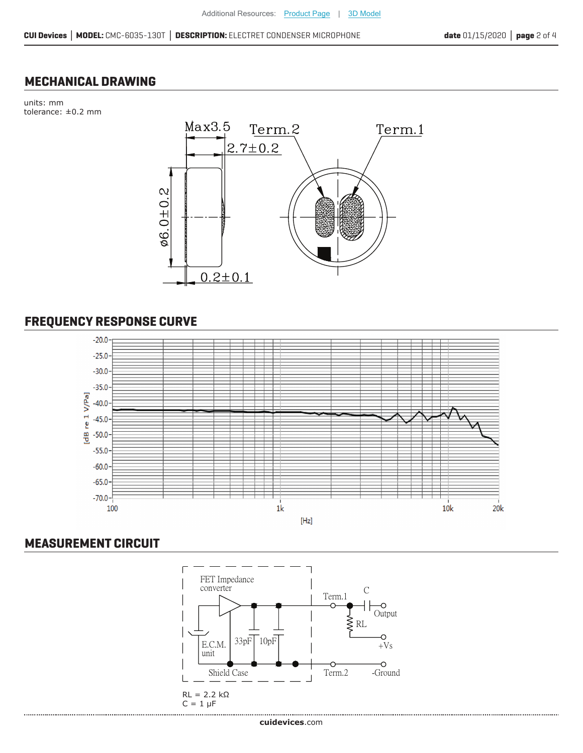#### **MECHANICAL DRAWING**

units: mm tolerance: ±0.2 mm



# **FREQUENCY RESPONSE CURVE**



## **MEASUREMENT CIRCUIT**

.......................

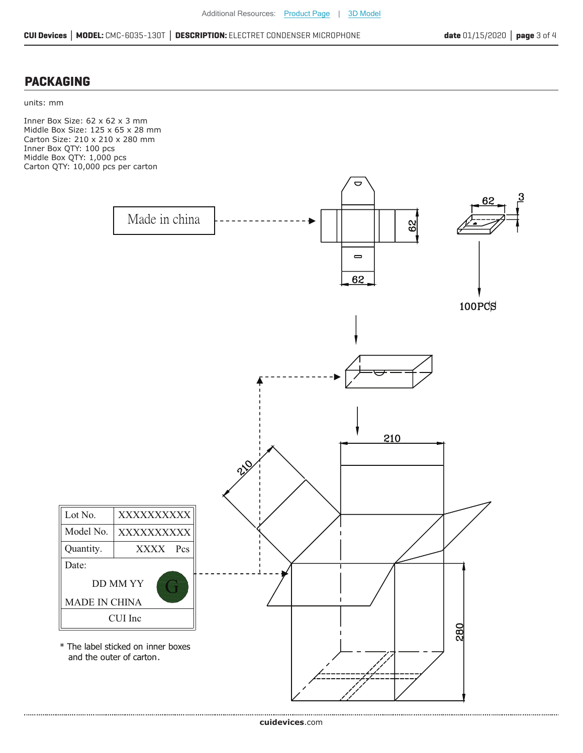## **PACKAGING**

units: mm

Inner Box Size: 62 x 62 x 3 mm Middle Box Size: 125 x 65 x 28 mm Carton Size: 210 x 210 x 280 mm Inner Box QTY: 100 pcs Middle Box QTY: 1,000 pcs Carton QTY: 10,000 pcs per carton